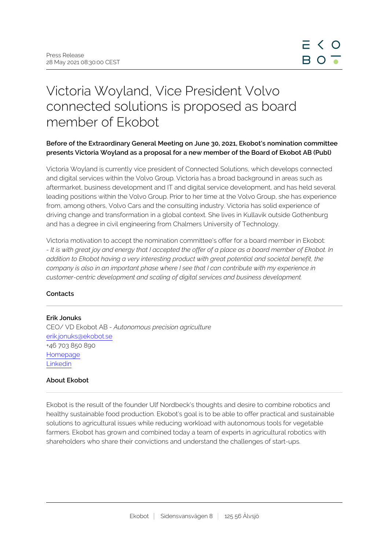# Victoria Woyland, Vice President Volvo connected solutions is proposed as board member of Ekobot

## **Before of the Extraordinary General Meeting on June 30, 2021, Ekobot's nomination committee presents Victoria Woyland as a proposal for a new member of the Board of Ekobot AB (Publ)**

Victoria Woyland is currently vice president of Connected Solutions, which develops connected and digital services within the Volvo Group. Victoria has a broad background in areas such as aftermarket, business development and IT and digital service development, and has held several leading positions within the Volvo Group. Prior to her time at the Volvo Group, she has experience from, among others, Volvo Cars and the consulting industry. Victoria has solid experience of driving change and transformation in a global context. She lives in Kullavik outside Gothenburg and has a degree in civil engineering from Chalmers University of Technology.

Victoria motivation to accept the nomination committee's offer for a board member in Ekobot: *- It is with great joy and energy that I accepted the offer of a place as a board member of Ekobot. In addition to Ekobot having a very interesting product with great potential and societal benefit, the company is also in an important phase where I see that I can contribute with my experience in customer-centric development and scaling of digital services and business development.* 

## **Contacts**

#### **Erik Jonuks**

CEO/ VD Ekobot AB *- Autonomous precision agriculture* erik.jonuks@ekobot.se +46 703 850 890 [Homepage](http://www.ekobot.se) [Linkedin](https://www.linkedin.com/company/42160655/admin/)

#### **About Ekobot**

Ekobot is the result of the founder Ulf Nordbeck's thoughts and desire to combine robotics and healthy sustainable food production. Ekobot's goal is to be able to offer practical and sustainable solutions to agricultural issues while reducing workload with autonomous tools for vegetable farmers. Ekobot has grown and combined today a team of experts in agricultural robotics with shareholders who share their convictions and understand the challenges of start-ups.